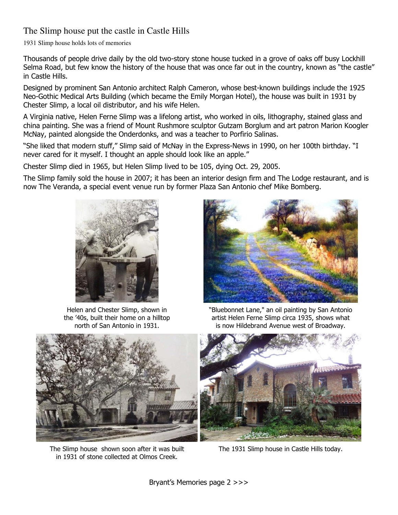# The Slimp house put the castle in Castle Hills

1931 Slimp house holds lots of memories

Thousands of people drive daily by the old two-story stone house tucked in a grove of oaks off busy Lockhill Selma Road, but few know the history of the house that was once far out in the country, known as "the castle" in Castle Hills.

Designed by prominent San Antonio architect [Ralph Cameron,](http://www.mysanantonio.com/search/?action=search&channel=lifestyle&inlineLink=1&searchindex=gsa&query=%22Ralph+Cameron%22) whose best-known buildings include the 1925 Neo-Gothic Medical Arts Building (which became the [Emily Morgan Hotel\)](http://www.mysanantonio.com/search/?action=search&channel=lifestyle&inlineLink=1&searchindex=gsa&query=%22Emily+Morgan+Hotel%22), the house was built in 1931 by Chester Slimp, a local oil distributor, and his wife Helen.

A Virginia native, [Helen Ferne Slimp](http://www.mysanantonio.com/search/?action=search&channel=lifestyle&inlineLink=1&searchindex=gsa&query=%22Helen+Ferne+Slimp%22) was a lifelong artist, who worked in oils, lithography, stained glass and china painting. She was a friend of Mount Rushmore sculptor [Gutzam Borglum](http://www.mysanantonio.com/search/?action=search&channel=lifestyle&inlineLink=1&searchindex=gsa&query=%22Gutzam+Borglum%22) and art patron [Marion Koogler](http://www.mysanantonio.com/search/?action=search&channel=lifestyle&inlineLink=1&searchindex=gsa&query=%22Marion+Koogler+McNay%22)  [McNay,](http://www.mysanantonio.com/search/?action=search&channel=lifestyle&inlineLink=1&searchindex=gsa&query=%22Marion+Koogler+McNay%22) painted alongside the Onderdonks, and was a teacher to Porfirio Salinas.

"She liked that modern stuff," Slimp said of McNay in the Express-News in 1990, on her 100th birthday. "I never cared for it myself. I thought an apple should look like an apple."

Chester Slimp died in 1965, but Helen Slimp lived to be 105, dying Oct. 29, 2005.

The Slimp family sold the house in 2007; it has been an interior design firm and The Lodge restaurant, and is now The Veranda, a special event venue run by former Plaza San Antonio chef [Mike Bomberg.](http://www.mysanantonio.com/search/?action=search&channel=lifestyle&inlineLink=1&searchindex=gsa&query=%22Mike+Bomberg%22)



Helen and Chester Slimp, shown in the '40s, built their home on a hilltop north of San Antonio in 1931.



"Bluebonnet Lane," an oil painting by San Antonio artist Helen Ferne Slimp circa 1935, shows what is now Hildebrand Avenue west of Broadway.



The Slimp house shown soon after it was built in 1931 of stone collected at Olmos Creek.



The 1931 Slimp house in Castle Hills today.